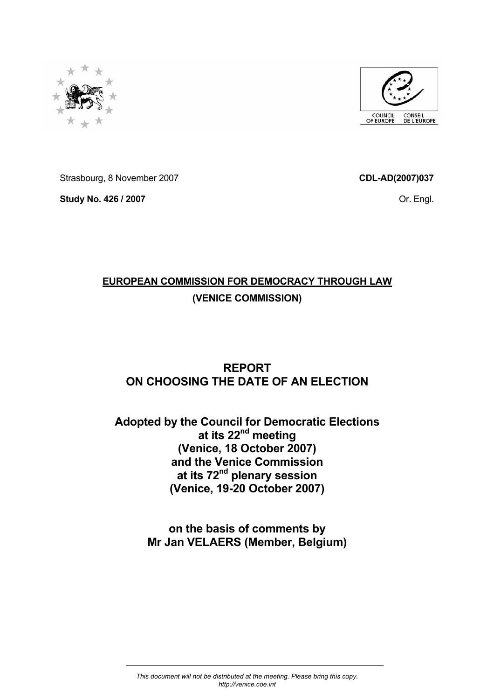



Strasbourg, 8 November 2007

**Study No. 426 / 2007** 

**CDL-AD(2007)037** 

Or. Engl.

# **EUROPEAN COMMISSION FOR DEMOCRACY THROUGH LAW (VENICE COMMISSION)**

# **REPORT ON CHOOSING THE DATE OF AN ELECTION**

# **Adopted by the Council for Democratic Elections at its 22nd meeting (Venice, 18 October 2007) and the Venice Commission at its 72nd plenary session (Venice, 19-20 October 2007)**

**on the basis of comments by Mr Jan VELAERS (Member, Belgium)**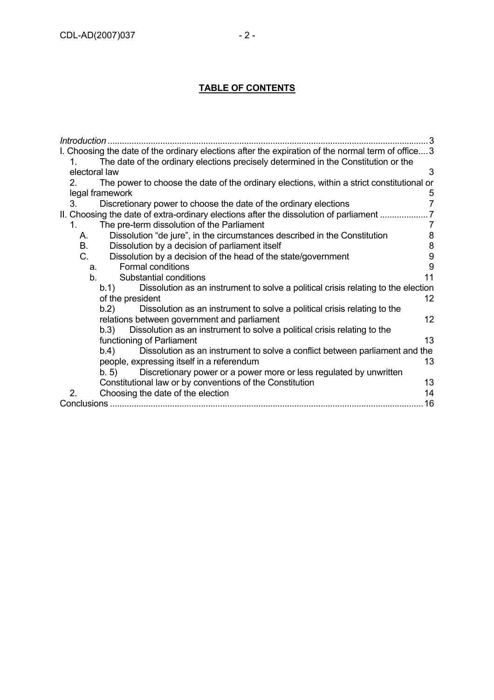# **TABLE OF CONTENTS**

| Introduction.                                                                                        |
|------------------------------------------------------------------------------------------------------|
| I. Choosing the date of the ordinary elections after the expiration of the normal term of office 3   |
| The date of the ordinary elections precisely determined in the Constitution or the<br>1.             |
| electoral law<br>3                                                                                   |
| The power to choose the date of the ordinary elections, within a strict constitutional or<br>$2_{-}$ |
| legal framework<br>5                                                                                 |
| $\overline{7}$<br>3.<br>Discretionary power to choose the date of the ordinary elections             |
| II. Choosing the date of extra-ordinary elections after the dissolution of parliament                |
| The pre-term dissolution of the Parliament<br>$1_{-}$<br>7                                           |
| 8<br>Dissolution "de jure", in the circumstances described in the Constitution<br>А.                 |
| 8<br><b>B.</b><br>Dissolution by a decision of parliament itself                                     |
| 9<br>C.<br>Dissolution by a decision of the head of the state/government                             |
| 9<br>Formal conditions<br>a.                                                                         |
| 11<br>b.<br>Substantial conditions                                                                   |
| Dissolution as an instrument to solve a political crisis relating to the election<br>b.1             |
| 12<br>of the president                                                                               |
| Dissolution as an instrument to solve a political crisis relating to the<br>b.2)                     |
| 12<br>relations between government and parliament                                                    |
| Dissolution as an instrument to solve a political crisis relating to the<br>b.3)                     |
| 13<br>functioning of Parliament                                                                      |
| b.4)<br>Dissolution as an instrument to solve a conflict between parliament and the                  |
| 13<br>people, expressing itself in a referendum                                                      |
| Discretionary power or a power more or less regulated by unwritten<br>b.5                            |
| Constitutional law or by conventions of the Constitution<br>13                                       |
| 2.<br>14<br>Choosing the date of the election                                                        |
| 16                                                                                                   |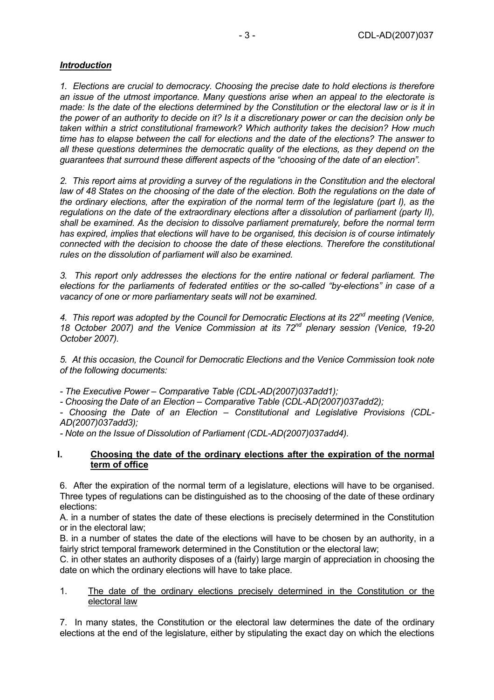# *Introduction*

*1. Elections are crucial to democracy. Choosing the precise date to hold elections is therefore an issue of the utmost importance. Many questions arise when an appeal to the electorate is made: Is the date of the elections determined by the Constitution or the electoral law or is it in the power of an authority to decide on it? Is it a discretionary power or can the decision only be taken within a strict constitutional framework? Which authority takes the decision? How much time has to elapse between the call for elections and the date of the elections? The answer to all these questions determines the democratic quality of the elections, as they depend on the guarantees that surround these different aspects of the "choosing of the date of an election".* 

*2. This report aims at providing a survey of the regulations in the Constitution and the electoral law of 48 States on the choosing of the date of the election. Both the regulations on the date of the ordinary elections, after the expiration of the normal term of the legislature (part I), as the regulations on the date of the extraordinary elections after a dissolution of parliament (party II), shall be examined. As the decision to dissolve parliament prematurely, before the normal term has expired, implies that elections will have to be organised, this decision is of course intimately connected with the decision to choose the date of these elections. Therefore the constitutional rules on the dissolution of parliament will also be examined.* 

*3. This report only addresses the elections for the entire national or federal parliament. The elections for the parliaments of federated entities or the so-called "by-elections" in case of a vacancy of one or more parliamentary seats will not be examined.* 

*4. This report was adopted by the Council for Democratic Elections at its 22nd meeting (Venice, 18 October 2007) and the Venice Commission at its 72nd plenary session (Venice, 19-20 October 2007).* 

*5. At this occasion, the Council for Democratic Elections and the Venice Commission took note of the following documents:* 

*- The Executive Power – Comparative Table (CDL-AD(2007)037add1);* 

*- Choosing the Date of an Election – Comparative Table (CDL-AD(2007)037add2);* 

*- Choosing the Date of an Election – Constitutional and Legislative Provisions (CDL-AD(2007)037add3);* 

*- Note on the Issue of Dissolution of Parliament (CDL-AD(2007)037add4).* 

#### **I. Choosing the date of the ordinary elections after the expiration of the normal term of office**

6. After the expiration of the normal term of a legislature, elections will have to be organised. Three types of regulations can be distinguished as to the choosing of the date of these ordinary elections:

A. in a number of states the date of these elections is precisely determined in the Constitution or in the electoral law;

B. in a number of states the date of the elections will have to be chosen by an authority, in a fairly strict temporal framework determined in the Constitution or the electoral law;

C. in other states an authority disposes of a (fairly) large margin of appreciation in choosing the date on which the ordinary elections will have to take place.

#### 1. The date of the ordinary elections precisely determined in the Constitution or the electoral law

7. In many states, the Constitution or the electoral law determines the date of the ordinary elections at the end of the legislature, either by stipulating the exact day on which the elections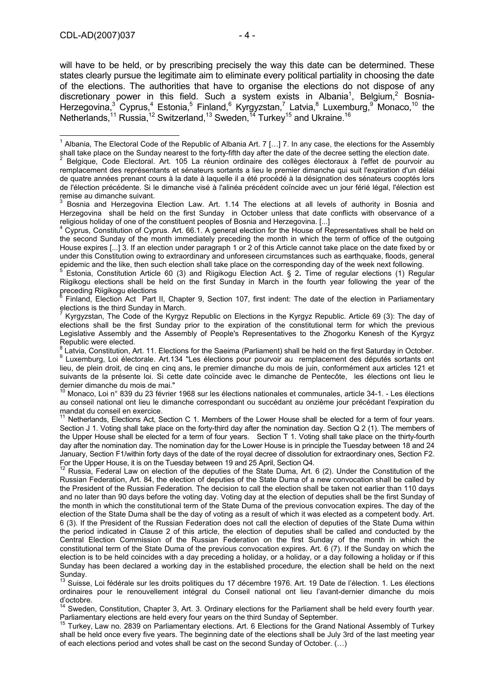will have to be held, or by prescribing precisely the way this date can be determined. These states clearly pursue the legitimate aim to eliminate every political partiality in choosing the date of the elections. The authorities that have to organise the elections do not dispose of any discretionary power in this field. Such a system exists in Albania<sup>1</sup>, Belgium,<sup>2</sup> Bosnia-Herzegovina,<sup>3</sup> Cyprus,<sup>4</sup> Estonia,<sup>5</sup> Finland,<sup>6</sup> Kyrgyzstan,<sup>7</sup> Latvia,<sup>8</sup> Luxemburg,<sup>9</sup> Monaco,<sup>10</sup> the Netherlands,<sup>11</sup> Russia,<sup>12</sup> Switzerland,<sup>13</sup> Sweden,<sup>14</sup> Turkey<sup>15</sup> and Ukraine.<sup>16</sup>

 Finland, Election Act Part II, Chapter 9, Section 107, first indent: The date of the election in Parliamentary elections is the third Sunday in March.<br><sup>7</sup> Kurguaten, The Code of the Kurgua

 Kyrgyzstan, The Code of the Kyrgyz Republic on Elections in the Kyrgyz Republic. Article 69 (3): The day of elections shall be the first Sunday prior to the expiration of the constitutional term for which the previous Legislative Assembly and the Assembly of People's Representatives to the Zhogorku Kenesh of the Kyrgyz Republic were elected.

 $^8$  Latvia, Constitution, Art. 11. Elections for the Saeima (Parliament) shall be held on the first Saturday in October.<br>9 Luxemburg Lei électerels, Art 124 "Lee élections pour peuplei au , remplesement des députés enten Luxemburg, Loi électorale. Art.134 "Les élections pour pourvoir au remplacement des députés sortants ont lieu, de plein droit, de cinq en cinq ans, le premier dimanche du mois de juin, conformément aux articles 121 et suivants de la présente loi. Si cette date coïncide avec le dimanche de Pentecôte, les élections ont lieu le dernier dimanche du mois de mai."

<sup>10</sup> Monaco, Loi n° 839 du 23 février 1968 sur les élections nationales et communales, article 34-1. - Les élections au conseil national ont lieu le dimanche correspondant ou succédant au onzième jour précédant l'expiration du mandat du conseil en exercice.

Netherlands, Elections Act, Section C 1. Members of the Lower House shall be elected for a term of four years. Section J 1. Voting shall take place on the forty-third day after the nomination day. Section Q 2 (1). The members of the Upper House shall be elected for a term of four years. Section T 1. Voting shall take place on the thirty-fourth day after the nomination day. The nomination day for the Lower House is in principle the Tuesday between 18 and 24 January, Section F1/within forty days of the date of the royal decree of dissolution for extraordinary ones, Section F2. For the Upper House, it is on the Tuesday between 19 and 25 April, Section Q4.

12 Russia, Federal Law on election of the deputies of the State Duma, Art. 6 (2). Under the Constitution of the Russian Federation, Art. 84, the election of deputies of the State Duma of a new convocation shall be called by the President of the Russian Federation. The decision to call the election shall be taken not earlier than 110 days and no later than 90 days before the voting day. Voting day at the election of deputies shall be the first Sunday of the month in which the constitutional term of the State Duma of the previous convocation expires. The day of the election of the State Duma shall be the day of voting as a result of which it was elected as a competent body. Art. 6 (3). If the President of the Russian Federation does not call the election of deputies of the State Duma within the period indicated in Clause 2 of this article, the election of deputies shall be called and conducted by the Central Election Commission of the Russian Federation on the first Sunday of the month in which the constitutional term of the State Duma of the previous convocation expires. Art. 6 (7). If the Sunday on which the election is to be held coincides with a day preceding a holiday, or a holiday, or a day following a holiday or if this Sunday has been declared a working day in the established procedure, the election shall be held on the next Sunday.

<sup>13</sup> Suisse, Loi fédérale sur les droits politiques du 17 décembre 1976. Art. 19 Date de l'élection. 1. Les élections ordinaires pour le renouvellement intégral du Conseil national ont lieu l'avant-dernier dimanche du mois d'octobre.

<sup>14</sup> Sweden, Constitution, Chapter 3, Art. 3. Ordinary elections for the Parliament shall be held every fourth year. Parliamentary elections are held every four years on the third Sunday of September.<br><sup>15</sup> Turkey, Law no. 2839 on Parliamentary elections. Art. 6 Elections for the Grand National Assembly of Turkey

shall be held once every five years. The beginning date of the elections shall be July 3rd of the last meeting year of each elections period and votes shall be cast on the second Sunday of October. (…)

 $\overline{1}$ <sup>1</sup> Albania, The Electoral Code of the Republic of Albania Art. 7 [...] 7. In any case, the elections for the Assembly shall take place on the Sunday nearest to the forty-fifth day after the date of the decree setting the election date. 2

Belgique, Code Electoral. Art. 105 La réunion ordinaire des collèges électoraux à l'effet de pourvoir au remplacement des représentants et sénateurs sortants a lieu le premier dimanche qui suit l'expiration d'un délai de quatre années prenant cours à la date à laquelle il a été procédé à la désignation des sénateurs cooptés lors de l'élection précédente. Si le dimanche visé à l'alinéa précédent coïncide avec un jour férié légal, l'élection est remise au dimanche suivant.<br><sup>3</sup>. Beenis and Herzogevine.

Bosnia and Herzegovina Election Law. Art. 1.14 The elections at all levels of authority in Bosnia and Herzegovina shall be held on the first Sunday in October unless that date conflicts with observance of a religious holiday of one of the constituent peoples of Bosnia and Herzegovina. [...]

Cyprus, Constitution of Cyprus. Art. 66.1. A general election for the House of Representatives shall be held on the second Sunday of the month immediately preceding the month in which the term of office of the outgoing House expires [...] 3. If an election under paragraph 1 or 2 of this Article cannot take place on the date fixed by or under this Constitution owing to extraordinary and unforeseen circumstances such as earthquake, floods, general epidemic and the like, then such election shall take place on the corresponding day of the week next following.

Estonia, Constitution Article 60 (3) and Riigikogu Election Act. § 2**.** Time of regular elections (1) Regular Riigikogu elections shall be held on the first Sunday in March in the fourth year following the year of the preceding Riigikogu elections<br><sup>6</sup> Einland, Election Act, Pert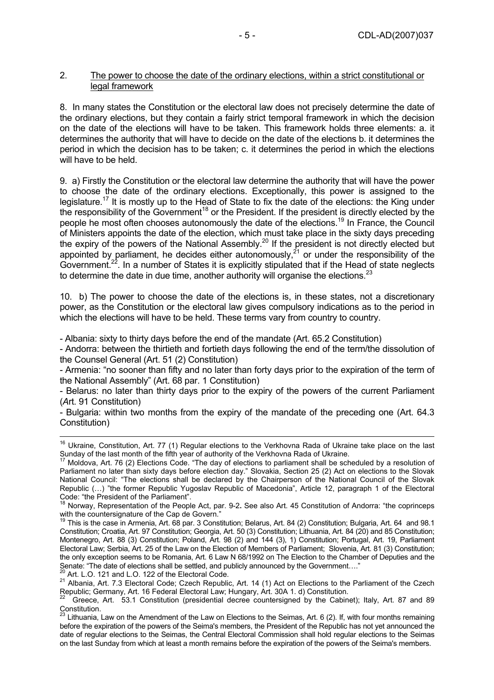### 2. The power to choose the date of the ordinary elections, within a strict constitutional or legal framework

8. In many states the Constitution or the electoral law does not precisely determine the date of the ordinary elections, but they contain a fairly strict temporal framework in which the decision on the date of the elections will have to be taken. This framework holds three elements: a. it determines the authority that will have to decide on the date of the elections b. it determines the period in which the decision has to be taken; c. it determines the period in which the elections will have to be held.

9. a) Firstly the Constitution or the electoral law determine the authority that will have the power to choose the date of the ordinary elections. Exceptionally, this power is assigned to the legislature.<sup>17</sup> It is mostly up to the Head of State to fix the date of the elections: the King under the responsibility of the  $G$ overnment<sup>18</sup> or the President. If the president is directly elected by the people he most often chooses autonomously the date of the elections.<sup>19</sup> In France, the Council of Ministers appoints the date of the election, which must take place in the sixty days preceding the expiry of the powers of the National Assembly.<sup>20</sup> If the president is not directly elected but appointed by parliament, he decides either autonomously,  $2^1$  or under the responsibility of the Government.<sup>22</sup>. In a number of States it is explicitly stipulated that if the Head of state neglects to determine the date in due time, another authority will organise the elections.<sup>23</sup>

10. b) The power to choose the date of the elections is, in these states, not a discretionary power, as the Constitution or the electoral law gives compulsory indications as to the period in which the elections will have to be held. These terms vary from country to country.

- Albania: sixty to thirty days before the end of the mandate (Art. 65.2 Constitution)

- Andorra: between the thirtieth and fortieth days following the end of the term/the dissolution of the Counsel General (Art. 51 (2) Constitution)

- Armenia: "no sooner than fifty and no later than forty days prior to the expiration of the term of the National Assembly" (Art. 68 par. 1 Constitution)

- Belarus: no later than thirty days prior to the expiry of the powers of the current Parliament (*A*rt. 91 Constitution)

- Bulgaria: within two months from the expiry of the mandate of the preceding one (Art. 64.3 Constitution)

<sup>&</sup>lt;sup>16</sup> Ukraine, Constitution, Art. 77 (1) Regular elections to the Verkhovna Rada of Ukraine take place on the last<br>Sunday of the last month of the fifth year of authority of the Verkhovna Rada of Ukraine.

Moldova, Art. 76 (2) Elections Code. "The day of elections to parliament shall be scheduled by a resolution of Parliament no later than sixty days before election day." Slovakia, Section 25 (2) Act on elections to the Slovak National Council: "The elections shall be declared by the Chairperson of the National Council of the Slovak Republic (…) "the former Republic Yugoslav Republic of Macedonia", Article 12, paragraph 1 of the Electoral Code: "the President of the Parliament".

<sup>18</sup> Norway, Representation of the People Act, par. 9-2**.** See also Art. 45 Constitution of Andorra: "the coprinceps with the countersignature of the Cap de Govern."<br><sup>19</sup> This is the case in Armenia, Art. 68 par. 3 Constitution; Belarus, Art. 84 (2) Constitution; Bulgaria, Art. 64 and 98.1

Constitution; Croatia, Art. 97 Constitution; Georgia, Art. 50 (3) Constitution; Lithuania, Art. 84 (20) and 85 Constitution; Montenegro, Art. 88 (3) Constitution; Poland, Art. 98 (2) and 144 (3), 1) Constitution; Portugal, Art. 19, Parliament Electoral Law; Serbia, Art. 25 of the Law on the Election of Members of Parliament; Slovenia, Art. 81 (3) Constitution; the only exception seems to be Romania, Art. 6 Law N 68/1992 on The Election to the Chamber of Deputies and the<br>Senate: "The date of elections shall be settled, and publicly announced by the Government...."<br><sup>20</sup> Art. L.O.

<sup>&</sup>lt;sup>20</sup> Art. L.O. 121 and L.O. 122 of the Electoral Code.<br><sup>21</sup> Albania, Art. 7.3 Electoral Code; Czech Republic, Art. 14 (1) Act on Elections to the Parliament of the Czech Republic; Germany, Art. 16 Federal Electoral Law; Hungary, Art. 30A 1. d) Constitution.

<sup>22</sup> Greece, Art. 53.1 Constitution (presidential decree countersigned by the Cabinet); Italy, Art. 87 and 89 Constitution.

 $^{23}$  Lithuania, Law on the Amendment of the Law on Elections to the Seimas, Art. 6 (2). If, with four months remaining before the expiration of the powers of the Seima's members, the President of the Republic has not yet announced the date of regular elections to the Seimas, the Central Electoral Commission shall hold regular elections to the Seimas on the last Sunday from which at least a month remains before the expiration of the powers of the Seima's members.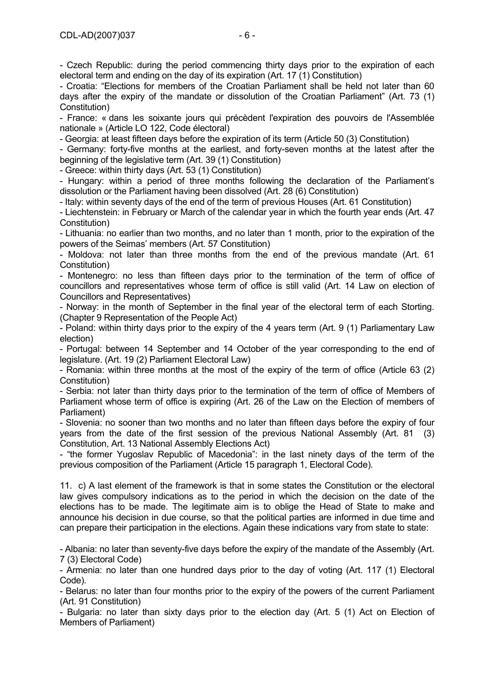- Czech Republic: during the period commencing thirty days prior to the expiration of each electoral term and ending on the day of its expiration (Art. 17 (1) Constitution)

- Croatia: "Elections for members of the Croatian Parliament shall be held not later than 60 days after the expiry of the mandate or dissolution of the Croatian Parliament" (Art. 73 (1) Constitution)

- France: « dans les soixante jours qui précèdent l'expiration des pouvoirs de l'Assemblée nationale » (Article LO 122, Code électoral)

- Georgia: at least fifteen days before the expiration of its term (Article 50 (3) Constitution)

- Germany: forty-five months at the earliest, and forty-seven months at the latest after the beginning of the legislative term (Art. 39 (1) Constitution)

- Greece: within thirty days (Art. 53 (1) Constitution)

- Hungary: within a period of three months following the declaration of the Parliament's dissolution or the Parliament having been dissolved (Art. 28 (6) Constitution)

- Italy: within seventy days of the end of the term of previous Houses (Art. 61 Constitution)

- Liechtenstein: in February or March of the calendar year in which the fourth year ends (Art. 47 Constitution)

- Lithuania: no earlier than two months, and no later than 1 month, prior to the expiration of the powers of the Seimas' members (Art. 57 Constitution)

- Moldova: not later than three months from the end of the previous mandate (Art. 61 Constitution)

- Montenegro: no less than fifteen days prior to the termination of the term of office of councillors and representatives whose term of office is still valid (Art. 14 Law on election of Councillors and Representatives)

- Norway: in the month of September in the final year of the electoral term of each Storting. (Chapter 9 Representation of the People Act)

- Poland: within thirty days prior to the expiry of the 4 years term (Art. 9 (1) Parliamentary Law election)

- Portugal: between 14 September and 14 October of the year corresponding to the end of legislature. (Art. 19 (2) Parliament Electoral Law)

- Romania: within three months at the most of the expiry of the term of office (Article 63 (2) Constitution)

- Serbia: not later than thirty days prior to the termination of the term of office of Members of Parliament whose term of office is expiring (Art. 26 of the Law on the Election of members of Parliament)

- Slovenia: no sooner than two months and no later than fifteen days before the expiry of four years from the date of the first session of the previous National Assembly (Art. 81 (3) Constitution, Art. 13 National Assembly Elections Act)

- "the former Yugoslav Republic of Macedonia": in the last ninety days of the term of the previous composition of the Parliament (Article 15 paragraph 1, Electoral Code).

11. c) A last element of the framework is that in some states the Constitution or the electoral law gives compulsory indications as to the period in which the decision on the date of the elections has to be made. The legitimate aim is to oblige the Head of State to make and announce his decision in due course, so that the political parties are informed in due time and can prepare their participation in the elections. Again these indications vary from state to state:

- Albania: no later than seventy-five days before the expiry of the mandate of the Assembly (Art. 7 (3) Electoral Code)

- Armenia: no later than one hundred days prior to the day of voting (Art. 117 (1) Electoral Code).

- Belarus: no later than four months prior to the expiry of the powers of the current Parliament (Art. 91 Constitution)

- Bulgaria: no later than sixty days prior to the election day (Art. 5 (1) Act on Election of Members of Parliament)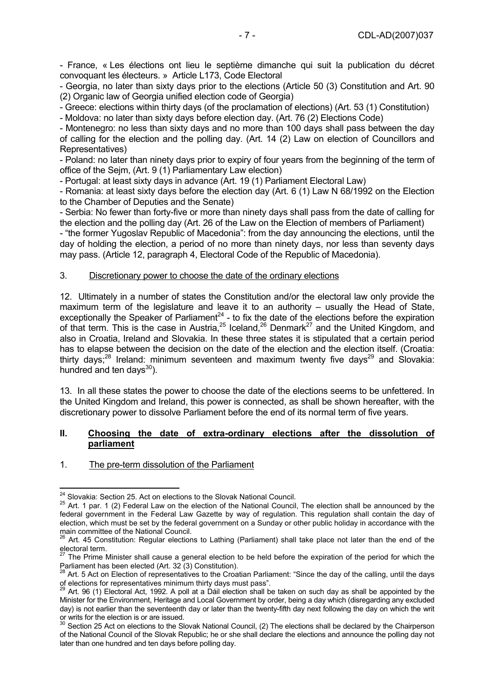- France, « Les élections ont lieu le septième dimanche qui suit la publication du décret convoquant les électeurs. » Article L173, Code Electoral

- Georgia, no later than sixty days prior to the elections (Article 50 (3) Constitution and Art. 90 (2) Organic law of Georgia unified election code of Georgia)

- Greece: elections within thirty days (of the proclamation of elections) (Art. 53 (1) Constitution)

- Moldova: no later than sixty days before election day. (Art. 76 (2) Elections Code)

- Montenegro: no less than sixty days and no more than 100 days shall pass between the day of calling for the election and the polling day. (Art. 14 (2) Law on election of Councillors and Representatives)

- Poland: no later than ninety days prior to expiry of four years from the beginning of the term of office of the Sejm, (Art. 9 (1) Parliamentary Law election)

- Portugal: at least sixty days in advance (Art. 19 (1) Parliament Electoral Law)

- Romania: at least sixty days before the election day (Art. 6 (1) Law N 68/1992 on the Election to the Chamber of Deputies and the Senate)

- Serbia: No fewer than forty-five or more than ninety days shall pass from the date of calling for the election and the polling day (Art. 26 of the Law on the Election of members of Parliament)

- "the former Yugoslav Republic of Macedonia": from the day announcing the elections, until the day of holding the election, a period of no more than ninety days, nor less than seventy days may pass. (Article 12, paragraph 4, Electoral Code of the Republic of Macedonia).

# 3. Discretionary power to choose the date of the ordinary elections

12. Ultimately in a number of states the Constitution and/or the electoral law only provide the maximum term of the legislature and leave it to an authority – usually the Head of State, exceptionally the Speaker of Parliament<sup>24</sup> - to fix the date of the elections before the expiration of that term. This is the case in Austria,<sup>25</sup> Iceland,<sup>26</sup> Denmark<sup>27</sup> and the United Kingdom, and also in Croatia, Ireland and Slovakia. In these three states it is stipulated that a certain period has to elapse between the decision on the date of the election and the election itself. (Croatia: thirty days; $^{28}$  Ireland: minimum seventeen and maximum twenty five days<sup>29</sup> and Slovakia: hundred and ten days $^{30}$ ).

13. In all these states the power to choose the date of the elections seems to be unfettered. In the United Kingdom and Ireland, this power is connected, as shall be shown hereafter, with the discretionary power to dissolve Parliament before the end of its normal term of five years.

#### **II. Choosing the date of extra-ordinary elections after the dissolution of parliament**

# 1. The pre-term dissolution of the Parliament

<sup>&</sup>lt;sup>24</sup> Slovakia: Section 25. Act on elections to the Slovak National Council.

<sup>&</sup>lt;sup>25</sup> Art. 1 par. 1 (2) Federal Law on the election of the National Council, The election shall be announced by the federal government in the Federal Law Gazette by way of regulation. This regulation shall contain the day of election, which must be set by the federal government on a Sunday or other public holiday in accordance with the main committee of the National Council.

<sup>&</sup>lt;sup>26</sup> Art. 45 Constitution: Regular elections to Lathing (Parliament) shall take place not later than the end of the electoral term.

<sup>27</sup> The Prime Minister shall cause a general election to be held before the expiration of the period for which the Parliament has been elected (Art. 32 (3) Constitution).

<sup>&</sup>lt;sup>28</sup> Art. 5 Act on Election of representatives to the Croatian Parliament: "Since the day of the calling, until the days of elections for representatives minimum thirty days must pass".

<sup>29</sup> Art. 96 (1) Electoral Act, 1992. A poll at a Dáil election shall be taken on such day as shall be appointed by the Minister for the Environment, Heritage and Local Government by order, being a day which (disregarding any excluded day) is not earlier than the seventeenth day or later than the twenty-fifth day next following the day on which the writ or writs for the election is or are issued.

 $30$  Section 25 Act on elections to the Slovak National Council, (2) The elections shall be declared by the Chairperson of the National Council of the Slovak Republic; he or she shall declare the elections and announce the polling day not later than one hundred and ten days before polling day.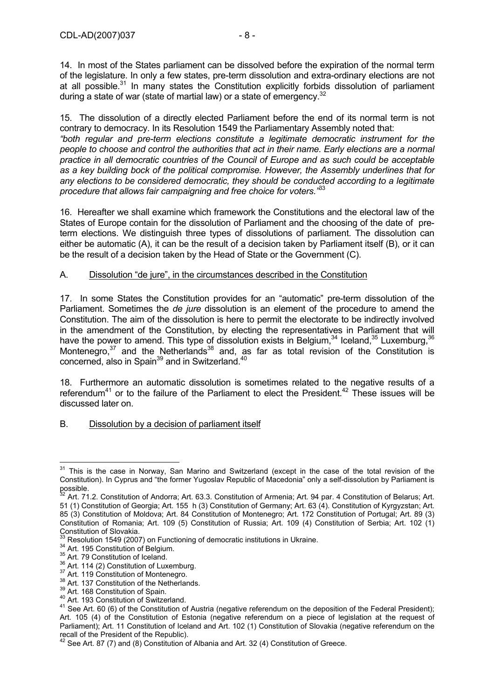14. In most of the States parliament can be dissolved before the expiration of the normal term of the legislature. In only a few states, pre-term dissolution and extra-ordinary elections are not at all possible. $31$  In many states the Constitution explicitly forbids dissolution of parliament during a state of war (state of martial law) or a state of emergency.<sup>32</sup>

15. The dissolution of a directly elected Parliament before the end of its normal term is not contrary to democracy. In its Resolution 1549 the Parliamentary Assembly noted that: *"both regular and pre-term elections constitute a legitimate democratic instrument for the people to choose and control the authorities that act in their name. Early elections are a normal practice in all democratic countries of the Council of Europe and as such could be acceptable as a key building bock of the political compromise. However, the Assembly underlines that for any elections to be considered democratic, they should be conducted according to a legitimate procedure that allows fair campaigning and free choice for voters."*33

16. Hereafter we shall examine which framework the Constitutions and the electoral law of the States of Europe contain for the dissolution of Parliament and the choosing of the date of preterm elections. We distinguish three types of dissolutions of parliament. The dissolution can either be automatic (A), it can be the result of a decision taken by Parliament itself (B), or it can be the result of a decision taken by the Head of State or the Government (C).

# A. Dissolution "de jure", in the circumstances described in the Constitution

17. In some States the Constitution provides for an "automatic" pre-term dissolution of the Parliament. Sometimes the *de jure* dissolution is an element of the procedure to amend the Constitution. The aim of the dissolution is here to permit the electorate to be indirectly involved in the amendment of the Constitution, by electing the representatives in Parliament that will have the power to amend. This type of dissolution exists in Belgium,  $34$  Iceland,  $35$  Luxemburg,  $36$ Montenegro, $37$  and the Netherlands  $38$  and, as far as total revision of the Constitution is concerned, also in Spain<sup>39</sup> and in Switzerland.<sup>40</sup>

18. Furthermore an automatic dissolution is sometimes related to the negative results of a referendum<sup>41</sup> or to the failure of the Parliament to elect the President.<sup>42</sup> These issues will be discussed later on.

# B. Dissolution by a decision of parliament itself

 $\overline{1}$  $31$  This is the case in Norway, San Marino and Switzerland (except in the case of the total revision of the Constitution). In Cyprus and "the former Yugoslav Republic of Macedonia" only a self-dissolution by Parliament is possible.

 $32$  Art. 71.2. Constitution of Andorra; Art. 63.3. Constitution of Armenia; Art. 94 par. 4 Constitution of Belarus; Art. 51 (1) Constitution of Georgia; Art. 155 h (3) Constitution of Germany; Art. 63 (4). Constitution of Kyrgyzstan; Art. 85 (3) Constitution of Moldova; Art. 84 Constitution of Montenegro; Art. 172 Constitution of Portugal; Art. 89 (3) Constitution of Romania; Art. 109 (5) Constitution of Russia; Art. 109 (4) Constitution of Serbia; Art. 102 (1) Constitution of Slovakia.<br><sup>33</sup> Resolution 1549 (2007) on Functioning of democratic institutions in Ukraine.

<sup>34</sup> Art. 195 Constitution of Belgium.<br>
35 Art. 79 Constitution of Iceland.<br>
36 Art. 114 (2) Constitution of Luxemburg.<br>
37 Art. 119 Constitution of Montenegro.<br>
38 Art. 119 Constitution of Montenegro.<br>
38 Art. 119 Constitu Art. 105 (4) of the Constitution of Estonia (negative referendum on a piece of legislation at the request of Parliament); Art. 11 Constitution of Iceland and Art. 102 (1) Constitution of Slovakia (negative referendum on the recall of the President of the Republic).<br><sup>42</sup> See Art. 87 (7) and (8) Constitution of Albania and Art. 32 (4) Constitution of Greece.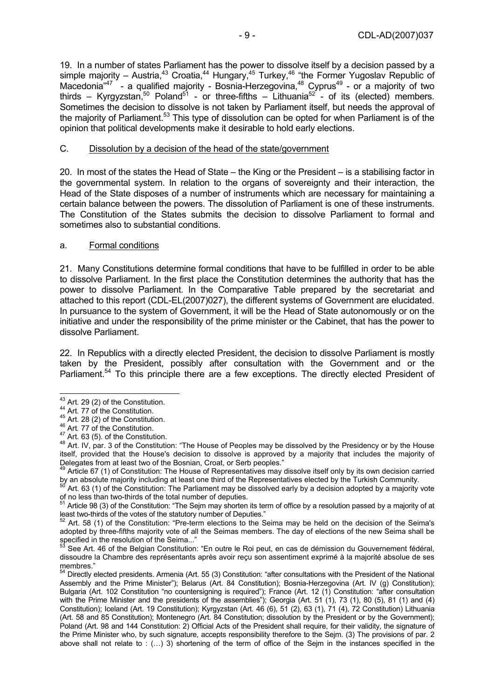19. In a number of states Parliament has the power to dissolve itself by a decision passed by a simple majority – Austria,<sup>43</sup> Croatia,<sup>44</sup> Hungary,<sup>45</sup> Turkey,<sup>46</sup> "the Former Yugoslav Republic of Macedonia<sup>"47</sup> - a qualified majority - Bosnia-Herzegovina,<sup>48</sup> Cyprus<sup>49</sup> - or a majority of two thirds – Kyrgyzstan,<sup>50</sup> Poland<sup>51</sup> - or three-fifths – Lithuania<sup>52</sup> - of its (elected) members. Sometimes the decision to dissolve is not taken by Parliament itself, but needs the approval of the majority of Parliament.<sup>53</sup> This type of dissolution can be opted for when Parliament is of the opinion that political developments make it desirable to hold early elections.

### C. Dissolution by a decision of the head of the state/government

20. In most of the states the Head of State – the King or the President – is a stabilising factor in the governmental system. In relation to the organs of sovereignty and their interaction, the Head of the State disposes of a number of instruments which are necessary for maintaining a certain balance between the powers. The dissolution of Parliament is one of these instruments. The Constitution of the States submits the decision to dissolve Parliament to formal and sometimes also to substantial conditions.

#### a. Formal conditions

21. Many Constitutions determine formal conditions that have to be fulfilled in order to be able to dissolve Parliament. In the first place the Constitution determines the authority that has the power to dissolve Parliament. In the Comparative Table prepared by the secretariat and attached to this report (CDL-EL(2007)027), the different systems of Government are elucidated. In pursuance to the system of Government, it will be the Head of State autonomously or on the initiative and under the responsibility of the prime minister or the Cabinet, that has the power to dissolve Parliament.

22. In Republics with a directly elected President, the decision to dissolve Parliament is mostly taken by the President, possibly after consultation with the Government and or the Parliament.<sup>54</sup> To this principle there are a few exceptions. The directly elected President of

 $43$  Art. 29 (2) of the Constitution.

Art. 29 (2) or the Constitution.<br>
44 Art. 77 of the Constitution.<br>
46 Art. 28 (2) of the Constitution.<br>
46 Art. 77 of the Constitution.<br>
47 Art. 63 (5). of the Constitution.<br>
48 Art. IV, par. 3 of the Constitution: "The H itself, provided that the House's decision to dissolve is approved by a majority that includes the majority of Delegates from at least two of the Bosnian, Croat, or Serb peoples."<br><sup>49</sup> Article 67 (1) of Constitution: The House of Representatives may dissolve itself only by its own decision carried

by an absolute majority including at least one third of the Representatives elected by the Turkish Community.<br><sup>50</sup> Art. 63 (1) of the Constitution: The Parliament may be dissolved early by a decision adopted by a majority

of no less than two-thirds of the total number of deputies.

Article 98 (3) of the Constitution: "The Sejm may shorten its term of office by a resolution passed by a majority of at least two-thirds of the votes of the statutory number of Deputies."<br> $52 \text{ At } 59 \text{ (4)}$  of the consumer of  $\frac{1}{2}$ 

<sup>52</sup> Art. 58 (1) of the Constitution: "Pre-term elections to the Seima may be held on the decision of the Seima's adopted by three-fifths majority vote of all the Seimas members. The day of elections of the new Seima shall be specified in the resolution of the Seima..."

See Art. 46 of the Belgian Constitution: "En outre le Roi peut, en cas de démission du Gouvernement fédéral, dissoudre la Chambre des représentants après avoir reçu son assentiment exprimé à la majorité absolue de ses membres."

<sup>&</sup>lt;sup>54</sup> Directly elected presidents. Armenia (Art. 55 (3) Constitution: "after consultations with the President of the National Assembly and the Prime Minister"); Belarus (Art. 84 Constitution); Bosnia-Herzegovina (Art. IV (g) Constitution); Bulgaria (Art. 102 Constitution "no countersigning is required"); France (Art. 12 (1) Constitution: "after consultation with the Prime Minister and the presidents of the assemblies"); Georgia (Art. 51 (1), 73 (1), 80 (5), 81 (1) and (4) Constitution); Iceland (Art. 19 Constitution); Kyrgyzstan (Art. 46 (6), 51 (2), 63 (1), 71 (4), 72 Constitution) Lithuania (Art. 58 and 85 Constitution); Montenegro (Art. 84 Constitution; dissolution by the President or by the Government); Poland (Art. 98 and 144 Constitution: 2) Official Acts of the President shall require, for their validity, the signature of the Prime Minister who, by such signature, accepts responsibility therefore to the Sejm. (3) The provisions of par. 2 above shall not relate to : (…) 3) shortening of the term of office of the Sejm in the instances specified in the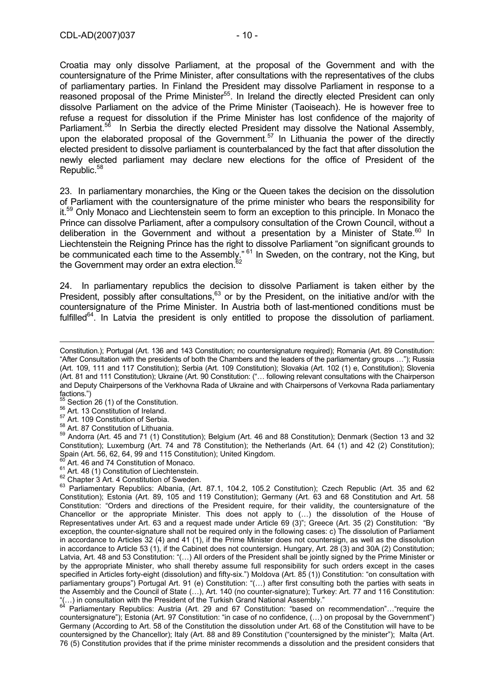Croatia may only dissolve Parliament, at the proposal of the Government and with the countersignature of the Prime Minister, after consultations with the representatives of the clubs of parliamentary parties. In Finland the President may dissolve Parliament in response to a reasoned proposal of the Prime Minister<sup>55</sup>. In Ireland the directly elected President can only dissolve Parliament on the advice of the Prime Minister (Taoiseach). He is however free to refuse a request for dissolution if the Prime Minister has lost confidence of the majority of Parliament.<sup>56</sup> In Serbia the directly elected President may dissolve the National Assembly, upon the elaborated proposal of the Government.<sup>57</sup> In Lithuania the power of the directly elected president to dissolve parliament is counterbalanced by the fact that after dissolution the newly elected parliament may declare new elections for the office of President of the Republic.<sup>58</sup>

23. In parliamentary monarchies, the King or the Queen takes the decision on the dissolution of Parliament with the countersignature of the prime minister who bears the responsibility for it.<sup>59</sup> Only Monaco and Liechtenstein seem to form an exception to this principle. In Monaco the Prince can dissolve Parliament, after a compulsory consultation of the Crown Council, without a deliberation in the Government and without a presentation by a Minister of State.<sup>60</sup> In Liechtenstein the Reigning Prince has the right to dissolve Parliament "on significant grounds to be communicated each time to the Assembly." <sup>61</sup> In Sweden, on the contrary, not the King, but the Government may order an extra election. $62$ 

24. In parliamentary republics the decision to dissolve Parliament is taken either by the President, possibly after consultations,<sup>63</sup> or by the President, on the initiative and/or with the countersignature of the Prime Minister. In Austria both of last-mentioned conditions must be fulfilled $^{64}$ . In Latvia the president is only entitled to propose the dissolution of parliament.

factions.")<br><sup>55</sup> Section 26 (1) of the Constitution.

 $\overline{a}$ 

- 
- 

<sup>56</sup> Art. 13 Constitution of Ireland.<br><sup>57</sup> Art. 109 Constitution of Serbia.<br><sup>58</sup> Art. 87 Constitution of Lithuania.<br><sup>58</sup> Andorra (Art. 45 and 71 (1) Constitution); Belgium (Art. 46 and 88 Constitution); Denmark (Section 1 Constitution); Luxemburg (Art. 74 and 78 Constitution); the Netherlands (Art. 64 (1) and 42 (2) Constitution);<br>Spain (Art. 56, 62, 64, 99 and 115 Constitution); United Kingdom.

- 
- 
- 

 $^{60}$  Art. 46 and 74 Constitution of Monaco.<br>  $^{61}$  Art. 48 (1) Constitution of Liechtenstein.<br>  $^{62}$  Chapter 3 Art. 4 Constitution of Sweden.<br>  $^{62}$  Parliamentary Republics: Albania, (Art. 87.1, 104.2, 105.2 Constitu Constitution); Estonia (Art. 89, 105 and 119 Constitution); Germany (Art. 63 and 68 Constitution and Art. 58 Constitution: "Orders and directions of the President require, for their validity, the countersignature of the Chancellor or the appropriate Minister. This does not apply to (…) the dissolution of the House of Representatives under Art. 63 and a request made under Article 69 (3)"; Greece (Art. 35 (2) Constitution: "By exception, the counter-signature shall not be required only in the following cases: c) The dissolution of Parliament in accordance to Articles 32 (4) and 41 (1), if the Prime Minister does not countersign, as well as the dissolution in accordance to Article 53 (1), if the Cabinet does not countersign. Hungary, Art. 28 (3) and 30A (2) Constitution; Latvia, Art. 48 and 53 Constitution: "(…) All orders of the President shall be jointly signed by the Prime Minister or by the appropriate Minister, who shall thereby assume full responsibility for such orders except in the cases specified in Articles forty-eight (dissolution) and fifty-six.") Moldova (Art. 85 (1)) Constitution: "on consultation with parliamentary groups") Portugal Art. 91 (e) Constitution: "(…) after first consulting both the parties with seats in the Assembly and the Council of State (…), Art. 140 (no counter-signature); Turkey: Art. 77 and 116 Constitution: "(...) in consultation with the President of the Turkish Grand National Assembly."<br><sup>64</sup> Parliamentary Republics: Austria (Art. 29 and 67 Constitution: "based on recommendation"..."require the

countersignature"); Estonia (Art. 97 Constitution: "in case of no confidence, (…) on proposal by the Government") Germany (According to Art. 58 of the Constitution the dissolution under Art. 68 of the Constitution will have to be countersigned by the Chancellor); Italy (Art. 88 and 89 Constitution ("countersigned by the minister"); Malta (Art. 76 (5) Constitution provides that if the prime minister recommends a dissolution and the president considers that

Constitution.); Portugal (Art. 136 and 143 Constitution; no countersignature required); Romania (Art. 89 Constitution: "After Consultation with the presidents of both the Chambers and the leaders of the parliamentary groups …"); Russia (Art. 109, 111 and 117 Constitution); Serbia (Art. 109 Constitution); Slovakia (Art. 102 (1) e, Constitution); Slovenia (Art. 81 and 111 Constitution); Ukraine (Art. 90 Constitution: ("… following relevant consultations with the Chairperson and Deputy Chairpersons of the Verkhovna Rada of Ukraine and with Chairpersons of Verkovna Rada parliamentary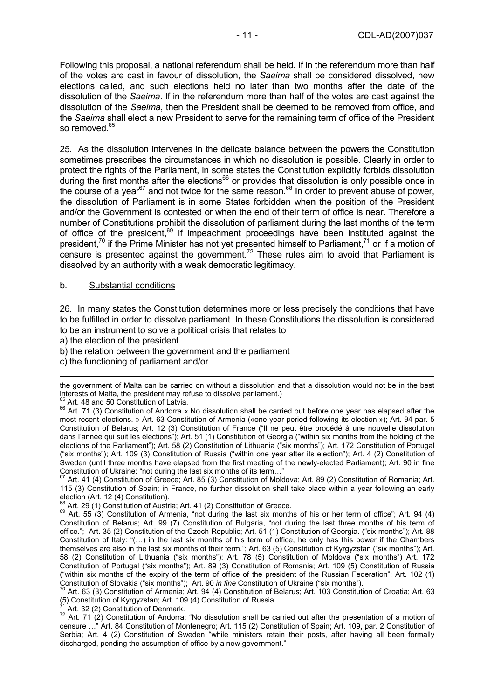Following this proposal, a national referendum shall be held. If in the referendum more than half of the votes are cast in favour of dissolution, the *Saeima* shall be considered dissolved, new elections called, and such elections held no later than two months after the date of the dissolution of the *Saeima*. If in the referendum more than half of the votes are cast against the dissolution of the *Saeima*, then the President shall be deemed to be removed from office, and the *Saeima* shall elect a new President to serve for the remaining term of office of the President so removed <sup>65</sup>

25. As the dissolution intervenes in the delicate balance between the powers the Constitution sometimes prescribes the circumstances in which no dissolution is possible. Clearly in order to protect the rights of the Parliament, in some states the Constitution explicitly forbids dissolution during the first months after the elections<sup>66</sup> or provides that dissolution is only possible once in the course of a year<sup>67</sup> and not twice for the same reason.<sup>68</sup> In order to prevent abuse of power, the dissolution of Parliament is in some States forbidden when the position of the President and/or the Government is contested or when the end of their term of office is near. Therefore a number of Constitutions prohibit the dissolution of parliament during the last months of the term of office of the president,<sup>69</sup> if impeachment proceedings have been instituted against the president,<sup>70</sup> if the Prime Minister has not yet presented himself to Parliament,<sup>71</sup> or if a motion of censure is presented against the government.<sup>72</sup> These rules aim to avoid that Parliament is dissolved by an authority with a weak democratic legitimacy.

#### b. Substantial conditions

26. In many states the Constitution determines more or less precisely the conditions that have to be fulfilled in order to dissolve parliament. In these Constitutions the dissolution is considered to be an instrument to solve a political crisis that relates to

a) the election of the president

- b) the relation between the government and the parliament
- c) the functioning of parliament and/or

Art. 41 (4) Constitution of Greece; Art. 85 (3) Constitution of Moldova; Art. 89 (2) Constitution of Romania; Art. 115 (3) Constitution of Spain; in France, no further dissolution shall take place within a year following an early election (Art. 12 (4) Constitution).<br>
<sup>68</sup> Art. 29 (1) Constitution of Austria: Art. 41 (2) Constitution of Greece.

<sup>71</sup> Art. 32 (2) Constitution of Denmark.<br><sup>72</sup> Art. 71 (2) Constitution of Andorra: "No dissolution shall be carried out after the presentation of a motion of censure …" Art. 84 Constitution of Montenegro; Art. 115 (2) Constitution of Spain; Art. 109, par. 2 Constitution of Serbia; Art. 4 (2) Constitution of Sweden "while ministers retain their posts, after having all been formally discharged, pending the assumption of office by a new government."

the government of Malta can be carried on without a dissolution and that a dissolution would not be in the best interests of Malta, the president may refuse to dissolve parliament.)<br>  $65$  Art. 48 and 50 Constitution of Latvia.<br>  $65$  Art. 71 (3) Constitution of Andorra « No dissolution shall be carried out before one year has elapse

most recent elections. » Art. 63 Constitution of Armenia («one year period following its election »); Art. 94 par. 5 Constitution of Belarus; Art. 12 (3) Constitution of France ("Il ne peut être procédé à une nouvelle dissolution dans l'année qui suit les élections"); Art. 51 (1) Constitution of Georgia ("within six months from the holding of the elections of the Parliament"); Art. 58 (2) Constitution of Lithuania ("six months"); Art. 172 Constitution of Portugal ("six months"); Art. 109 (3) Constitution of Russia ("within one year after its election"); Art. 4 (2) Constitution of Sweden (until three months have elapsed from the first meeting of the newly-elected Parliament); Art. 90 in fine<br>Constitution of Ukraine: "not during the last six months of its term..."<br> $^{67}$  Art. 44.(4) Constitution of

 $^{69}$  Art. 55 (3) Constitution of Armenia, "not during the last six months of his or her term of office"; Art. 94 (4) Constitution of Belarus; Art. 99 (7) Constitution of Bulgaria, "not during the last three months of his term of office."; Art. 35 (2) Constitution of the Czech Republic; Art. 51 (1) Constitution of Georgia. ("six months"); Art. 88 Constitution of Italy: "(…) in the last six months of his term of office, he only has this power if the Chambers themselves are also in the last six months of their term."; Art. 63 (5) Constitution of Kyrgyzstan ("six months"); Art. 58 (2) Constitution of Lithuania ("six months"); Art. 78 (5) Constitution of Moldova ("six months") Art. 172 Constitution of Portugal ("six months"); Art. 89 (3) Constitution of Romania; Art. 109 (5) Constitution of Russia ("within six months of the expiry of the term of office of the president of the Russian Federation"; Art. 102 (1)

Constitution of Slovakia ("six months"); Art. 90 *in fine* Constitution of Ukraine ("six months").<br><sup>70</sup> Art. 63 (3) Constitution of Armenia; Art. 94 (4) Constitution of Belarus; Art. 103 Constitution of Croatia; Art. 63<br>(5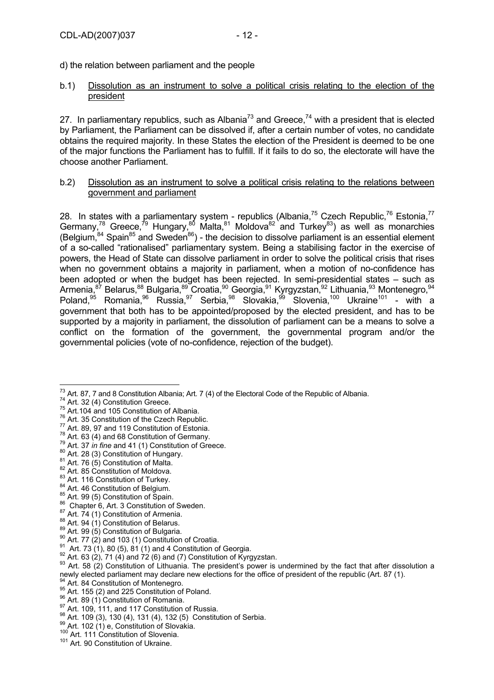d) the relation between parliament and the people

#### b.1) Dissolution as an instrument to solve a political crisis relating to the election of the president

27. In parliamentary republics, such as Albania<sup>73</sup> and Greece,<sup>74</sup> with a president that is elected by Parliament, the Parliament can be dissolved if, after a certain number of votes, no candidate obtains the required majority. In these States the election of the President is deemed to be one of the major functions the Parliament has to fulfill. If it fails to do so, the electorate will have the choose another Parliament.

### b.2) Dissolution as an instrument to solve a political crisis relating to the relations between government and parliament

28. In states with a parliamentary system - republics (Albania,<sup>75</sup> Czech Republic,<sup>76</sup> Estonia,<sup>77</sup> Germany,<sup>78</sup> Greece,<sup>79</sup> Hungary,<sup>80</sup> Malta,<sup>81</sup> Moldova<sup>82</sup> and Turkey<sup>83</sup>) as well as monarchies (Belgium,  $84$  Spain<sup>85</sup> and Sweden<sup>86</sup>) - the decision to dissolve parliament is an essential element of a so-called "rationalised" parliamentary system. Being a stabilising factor in the exercise of powers, the Head of State can dissolve parliament in order to solve the political crisis that rises when no government obtains a majority in parliament, when a motion of no-confidence has been adopted or when the budget has been rejected. In semi-presidential states – such as Armenia,<sup>87</sup> Belarus,<sup>88</sup> Bulgaria,<sup>89</sup> Croatia,<sup>90</sup> Georgia,<sup>91</sup> Kyrgyzstan,<sup>92</sup> Lithuania,<sup>93</sup> Montenegro,<sup>94</sup> Poland,<sup>95</sup> Romania,<sup>96</sup> Russia,<sup>97</sup> Serbia,<sup>98</sup> Slovakia,<sup>99</sup> Slovenia,<sup>100</sup> Ukraine<sup>101</sup> - with a government that both has to be appointed/proposed by the elected president, and has to be supported by a majority in parliament, the dissolution of parliament can be a means to solve a conflict on the formation of the government, the governmental program and/or the governmental policies (vote of no-confidence, rejection of the budget).

- 
- 
- 
- 

- 
- 
- 
- 
- 
- newly elected parliament may declare new elections for the office of president of the republic (Art. 87 (1).<br><sup>94</sup> Art. 84 Constitution of Montenegro.<br><sup>95</sup> Art. 155 (2) and 225 Constitution of Poland.<br><sup>96</sup> Art. 156 (2) and
- 
- 
- 
- 

<sup>73</sup> Art. 87, 7 and 8 Constitution Albania; Art. 7 (4) of the Electoral Code of the Republic of Albania. <sup>73</sup> Art. 87, 7 and 8 Constitution Albania; Art. 7 (4) of the Electoral Code of the Republic of Albania.<br><sup>74</sup> Art. 32 (4) Constitution Greece.<br>The Art. 35 Constitution of Albania.<br><sup>77</sup> Art. 35 Constitution of the Czech Rep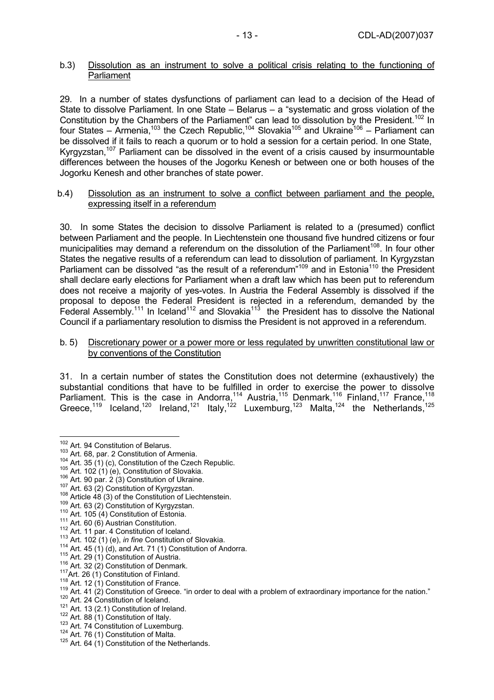# b.3) Dissolution as an instrument to solve a political crisis relating to the functioning of **Parliament**

29. In a number of states dysfunctions of parliament can lead to a decision of the Head of State to dissolve Parliament. In one State – Belarus – a "systematic and gross violation of the Constitution by the Chambers of the Parliament" can lead to dissolution by the President.<sup>102</sup> In four States – Armenia,103 the Czech Republic,104 Slovakia105 and Ukraine106 – Parliament can be dissolved if it fails to reach a quorum or to hold a session for a certain period. In one State, Kyrgyzstan,<sup>107</sup> Parliament can be dissolved in the event of a crisis caused by insurmountable differences between the houses of the Jogorku Kenesh or between one or both houses of the Jogorku Kenesh and other branches of state power.

#### b.4) Dissolution as an instrument to solve a conflict between parliament and the people, expressing itself in a referendum

30. In some States the decision to dissolve Parliament is related to a (presumed) conflict between Parliament and the people. In Liechtenstein one thousand five hundred citizens or four municipalities may demand a referendum on the dissolution of the Parliament<sup>108</sup>. In four other States the negative results of a referendum can lead to dissolution of parliament. In Kyrgyzstan Parliament can be dissolved "as the result of a referendum"109 and in Estonia110 the President shall declare early elections for Parliament when a draft law which has been put to referendum does not receive a majority of yes-votes. In Austria the Federal Assembly is dissolved if the proposal to depose the Federal President is rejected in a referendum, demanded by the Frederal Assembly.<sup>111</sup> In Iceland<sup>112</sup> and Slovakia<sup>113</sup> the President has to dissolve the National Council if a parliamentary resolution to dismiss the President is not approved in a referendum.

#### b. 5) Discretionary power or a power more or less regulated by unwritten constitutional law or by conventions of the Constitution

31. In a certain number of states the Constitution does not determine (exhaustively) the substantial conditions that have to be fulfilled in order to exercise the power to dissolve Parliament. This is the case in Andorra,<sup>114</sup> Austria,<sup>115</sup> Denmark,<sup>116</sup> Finland,<sup>117</sup> France,<sup>118</sup> Greece,<sup>119</sup> Iceland,<sup>120</sup> Ireland,<sup>121</sup> Italy,<sup>122</sup> Luxemburg,<sup>123</sup> Malta,<sup>124</sup> the Netherlands,<sup>125</sup>

<sup>102</sup> Art. 94 Constitution of Belarus.

<sup>&</sup>lt;sup>102</sup> Art. 94 Constitution of Belarus.<br>
<sup>102</sup> Art. 86, par. 2 Constitution of Armenia.<br>
1<sup>03</sup> Art. 86, par. 2 (3) Constitution of the Czech Republic.<br>
<sup>103</sup> Art. 102 (1) (e.), Constitution of Usydzkia.<br>
<sup>106</sup> Art. 90 par.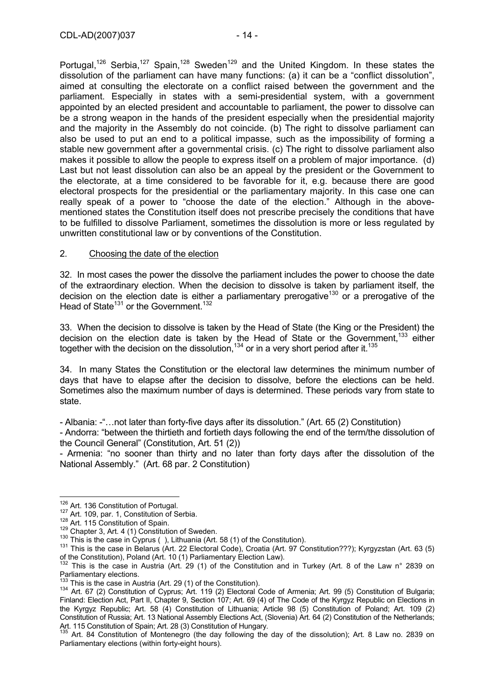Portugal,<sup>126</sup> Serbia,<sup>127</sup> Spain,<sup>128</sup> Sweden<sup>129</sup> and the United Kingdom. In these states the dissolution of the parliament can have many functions: (a) it can be a "conflict dissolution", aimed at consulting the electorate on a conflict raised between the government and the parliament. Especially in states with a semi-presidential system, with a government appointed by an elected president and accountable to parliament, the power to dissolve can be a strong weapon in the hands of the president especially when the presidential majority and the majority in the Assembly do not coincide. (b) The right to dissolve parliament can also be used to put an end to a political impasse, such as the impossibility of forming a stable new government after a governmental crisis. (c) The right to dissolve parliament also makes it possible to allow the people to express itself on a problem of major importance. (d) Last but not least dissolution can also be an appeal by the president or the Government to the electorate, at a time considered to be favorable for it, e.g. because there are good electoral prospects for the presidential or the parliamentary majority. In this case one can really speak of a power to "choose the date of the election." Although in the abovementioned states the Constitution itself does not prescribe precisely the conditions that have to be fulfilled to dissolve Parliament, sometimes the dissolution is more or less regulated by unwritten constitutional law or by conventions of the Constitution.

# 2. Choosing the date of the election

32. In most cases the power the dissolve the parliament includes the power to choose the date of the extraordinary election. When the decision to dissolve is taken by parliament itself, the decision on the election date is either a parliamentary prerogative<sup>130</sup> or a prerogative of the Head of State<sup>131</sup> or the Government.<sup>132</sup>

33. When the decision to dissolve is taken by the Head of State (the King or the President) the decision on the election date is taken by the Head of State or the Government.<sup>133</sup> either together with the decision on the dissolution, $134$  or in a very short period after it. $135$ 

34. In many States the Constitution or the electoral law determines the minimum number of days that have to elapse after the decision to dissolve, before the elections can be held. Sometimes also the maximum number of days is determined. These periods vary from state to state.

- Albania: -"…not later than forty-five days after its dissolution." (Art. 65 (2) Constitution)

- Andorra: "between the thirtieth and fortieth days following the end of the term/the dissolution of the Council General" (Constitution, Art. 51 (2))

- Armenia: "no sooner than thirty and no later than forty days after the dissolution of the National Assembly." (Art. 68 par. 2 Constitution)

<sup>&</sup>lt;sup>126</sup> Art. 136 Constitution of Portugal.

<sup>&</sup>lt;sup>127</sup> Art. 109, par. 1, Constitution of Serbia.<br><sup>128</sup> Art. 115 Constitution of Spain.<br><sup>128</sup> Chapter 3, Art. 4 (1) Constitution of Sweden.<br><sup>130</sup> This is the case in Cyprus ( ), Lithuania (Art. 58 (1) of the Constitution).<br> of the Constitution), Poland (Art. 10 (1) Parliamentary Election Law).

 $132$  This is the case in Austria (Art. 29 (1) of the Constitution and in Turkey (Art. 8 of the Law n° 2839 on Parliamentary elections.<br><sup>133</sup> This is the case in Austria (Art. 29 (1) of the Constitution).

<sup>134</sup> Art. 67 (2) Constitution of Cyprus; Art. 119 (2) Electoral Code of Armenia; Art. 99 (5) Constitution of Bulgaria; Finland: Election Act, Part II, Chapter 9, Section 107; Art. 69 (4) of The Code of the Kyrgyz Republic on Elections in the Kyrgyz Republic; Art. 58 (4) Constitution of Lithuania; Article 98 (5) Constitution of Poland; Art. 109 (2) Constitution of Russia; Art. 13 National Assembly Elections Act, (Slovenia) Art. 64 (2) Constitution of the Netherlands; Art. 115 Constitution of Spain; Art. 28 (3) Constitution of Hungary.

<sup>135</sup> Art. 84 Constitution of Montenegro (the day following the day of the dissolution); Art. 8 Law no. 2839 on Parliamentary elections (within forty-eight hours).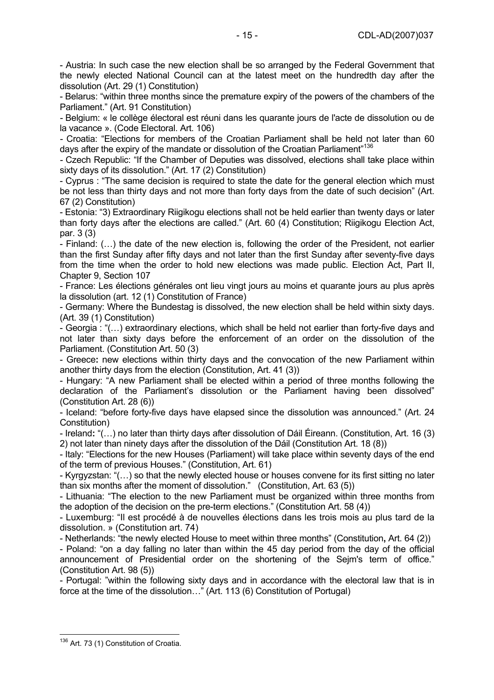- Austria: In such case the new election shall be so arranged by the Federal Government that the newly elected National Council can at the latest meet on the hundredth day after the dissolution (Art. 29 (1) Constitution)

- Belarus: "within three months since the premature expiry of the powers of the chambers of the Parliament." (Art. 91 Constitution)

*-* Belgium: « le collège électoral est réuni dans les quarante jours de l'acte de dissolution ou de la vacance ». (Code Electoral. Art. 106)

*-* Croatia: "Elections for members of the Croatian Parliament shall be held not later than 60 days after the expiry of the mandate or dissolution of the Croatian Parliament"<sup>136</sup>

*-* Czech Republic: "If the Chamber of Deputies was dissolved, elections shall take place within sixty days of its dissolution." (Art. 17 (2) Constitution)

- Cyprus : "The same decision is required to state the date for the general election which must be not less than thirty days and not more than forty days from the date of such decision" (Art. 67 (2) Constitution)

- Estonia: "3) Extraordinary Riigikogu elections shall not be held earlier than twenty days or later than forty days after the elections are called." (Art. 60 (4) Constitution; Riigikogu Election Act, par. 3 (3)

- Finland: (…) the date of the new election is, following the order of the President, not earlier than the first Sunday after fifty days and not later than the first Sunday after seventy-five days from the time when the order to hold new elections was made public. Election Act, Part II, Chapter 9, Section 107

- France: Les élections générales ont lieu vingt jours au moins et quarante jours au plus après la dissolution (art. 12 (1) Constitution of France)

- Germany: Where the Bundestag is dissolved, the new election shall be held within sixty days. (Art. 39 (1) Constitution)

- Georgia : "(…) extraordinary elections, which shall be held not earlier than forty-five days and not later than sixty days before the enforcement of an order on the dissolution of the Parliament. (Constitution Art. 50 (3)

- Greece**:** new elections within thirty days and the convocation of the new Parliament within another thirty days from the election (Constitution, Art. 41 (3))

- Hungary: "A new Parliament shall be elected within a period of three months following the declaration of the Parliament's dissolution or the Parliament having been dissolved" (Constitution Art. 28 (6))

- Iceland: "before forty-five days have elapsed since the dissolution was announced." (Art. 24 Constitution)

- Ireland**:** "(…) no later than thirty days after dissolution of Dáil Éireann. (Constitution, Art. 16 (3) 2) not later than ninety days after the dissolution of the Dáil (Constitution Art. 18 (8))

- Italy: "Elections for the new Houses (Parliament) will take place within seventy days of the end of the term of previous Houses." (Constitution, Art. 61)

- Kyrgyzstan: "(…) so that the newly elected house or houses convene for its first sitting no later than six months after the moment of dissolution." (Constitution, Art. 63 (5))

- Lithuania: "The election to the new Parliament must be organized within three months from the adoption of the decision on the pre-term elections." (Constitution Art. 58 (4))

- Luxemburg: "Il est procédé à de nouvelles élections dans les trois mois au plus tard de la dissolution. » (Constitution art. 74)

- Netherlands: "the newly elected House to meet within three months" (Constitution**,** Art. 64 (2))

- Poland: "on a day falling no later than within the 45 day period from the day of the official announcement of Presidential order on the shortening of the Sejm's term of office." (Constitution Art. 98 (5))

- Portugal: "within the following sixty days and in accordance with the electoral law that is in force at the time of the dissolution…" (Art. 113 (6) Constitution of Portugal)

 $\overline{a}$ <sup>136</sup> Art. 73 (1) Constitution of Croatia.